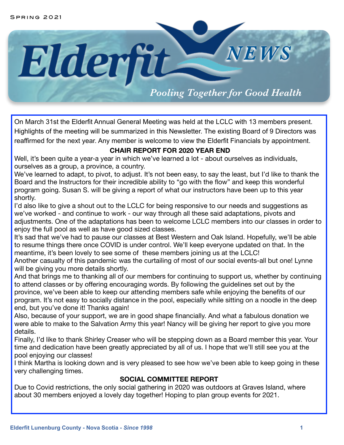

On March 31st the Elderfit Annual General Meeting was held at the LCLC with 13 members present. Highlights of the meeting will be summarized in this Newsletter. The existing Board of 9 Directors was reaffirmed for the next year. Any member is welcome to view the Elderfit Financials by appointment.

# **CHAIR REPORT FOR 2020 YEAR END**

Well, it's been quite a year-a year in which we've learned a lot - about ourselves as individuals, ourselves as a group, a province, a country.

We've learned to adapt, to pivot, to adjust. It's not been easy, to say the least, but I'd like to thank the Board and the Instructors for their incredible ability to "go with the flow" and keep this wonderful program going. Susan S. will be giving a report of what our instructors have been up to this year shortly.

I'd also like to give a shout out to the LCLC for being responsive to our needs and suggestions as we've worked - and continue to work - our way through all these said adaptations, pivots and adjustments. One of the adaptations has been to welcome LCLC members into our classes in order to enjoy the full pool as well as have good sized classes.

It's sad that we've had to pause our classes at Best Western and Oak Island. Hopefully, we'll be able to resume things there once COVID is under control. We'll keep everyone updated on that. In the meantime, it's been lovely to see some of these members joining us at the LCLC!

Another casualty of this pandemic was the curtailing of most of our social events-all but one! Lynne will be giving you more details shortly.

And that brings me to thanking all of our members for continuing to support us, whether by continuing to attend classes or by offering encouraging words. By following the guidelines set out by the province, we've been able to keep our attending members safe while enjoying the benefits of our program. It's not easy to socially distance in the pool, especially while sitting on a noodle in the deep end, but you've done it! Thanks again!

Also, because of your support, we are in good shape financially. And what a fabulous donation we were able to make to the Salvation Army this year! Nancy will be giving her report to give you more details.

Finally, I'd like to thank Shirley Creaser who will be stepping down as a Board member this year. Your time and dedication have been greatly appreciated by all of us. I hope that we'll still see you at the pool enjoying our classes!

I think Martha is looking down and is very pleased to see how we've been able to keep going in these very challenging times.

# **SOCIAL COMMITTEE REPORT**

Due to Covid restrictions, the only social gathering in 2020 was outdoors at Graves Island, where about 30 members enjoyed a lovely day together! Hoping to plan group events for 2021.